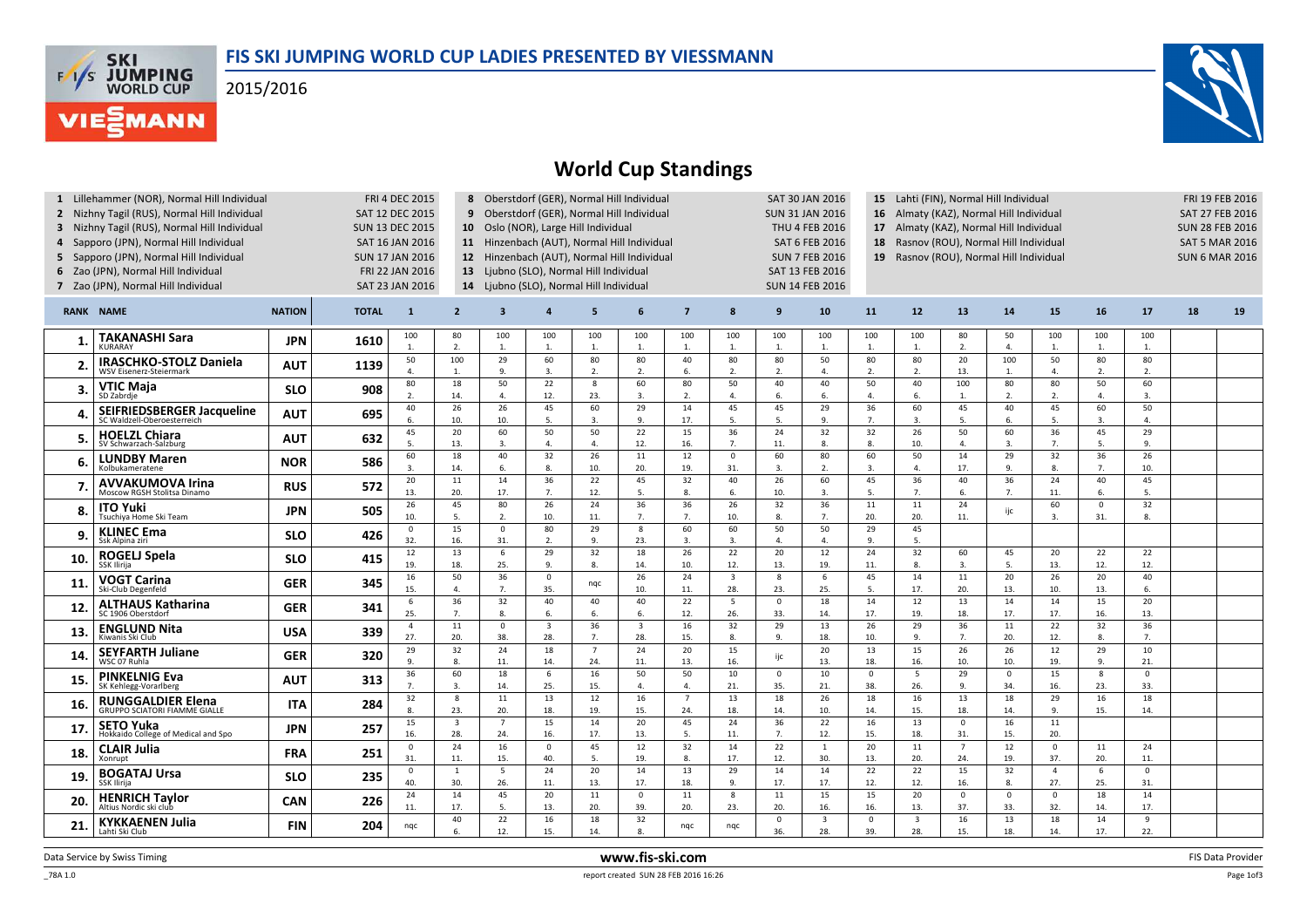

2015/2016

**FAS SKI**<br>WORLD CUP

**VIE***MANN* 



## World Cup Standings

| 1 Lillehammer (NOR), Normal Hill Individual<br><b>FRI 4 DEC 2015</b><br>2 Nizhny Tagil (RUS), Normal Hill Individual<br>SAT 12 DEC 2015<br>3 Nizhny Tagil (RUS), Normal Hill Individual<br><b>SUN 13 DEC 2015</b><br>4 Sapporo (JPN), Normal Hill Individual<br>SAT 16 JAN 2016<br>5 Sapporo (JPN), Normal Hill Individual<br><b>SUN 17 JAN 2016</b><br>6 Zao (JPN), Normal Hill Individual<br>FRI 22 JAN 2016<br>7 Zao (JPN), Normal Hill Individual<br>SAT 23 JAN 2016 |                                                                  |               |              |                       |                                | 8 Oberstdorf (GER), Normal Hill Individual<br>SAT 30 JAN 2016<br>15 Lahti (FIN), Normal Hill Individual<br>9 Oberstdorf (GER), Normal Hill Individual<br>Almaty (KAZ), Normal Hill Individual<br><b>SUN 31 JAN 2016</b><br>16<br>10 Oslo (NOR), Large Hill Individual<br>Almaty (KAZ), Normal Hill Individual<br><b>THU 4 FEB 2016</b><br>17<br>11 Hinzenbach (AUT), Normal Hill Individual<br>Rasnov (ROU), Normal Hill Individual<br><b>SAT 6 FEB 2016</b><br>18<br>12 Hinzenbach (AUT), Normal Hill Individual<br><b>SUN 7 FEB 2016</b><br>19 Rasnov (ROU), Normal Hill Individual<br>13 Ljubno (SLO), Normal Hill Individual<br>SAT 13 FEB 2016<br>14 Ljubno (SLO), Normal Hill Individual<br><b>SUN 14 FEB 2016</b> |                       |                       |                                |                        |                                |                        |                                |                       |                                |                               |                        | FRI 19 FEB 2016<br><b>SAT 27 FEB 2016</b><br><b>SUN 28 FEB 2016</b><br><b>SAT 5 MAR 2016</b><br><b>SUN 6 MAR 2016</b> |                      |                        |    |    |
|--------------------------------------------------------------------------------------------------------------------------------------------------------------------------------------------------------------------------------------------------------------------------------------------------------------------------------------------------------------------------------------------------------------------------------------------------------------------------|------------------------------------------------------------------|---------------|--------------|-----------------------|--------------------------------|--------------------------------------------------------------------------------------------------------------------------------------------------------------------------------------------------------------------------------------------------------------------------------------------------------------------------------------------------------------------------------------------------------------------------------------------------------------------------------------------------------------------------------------------------------------------------------------------------------------------------------------------------------------------------------------------------------------------------|-----------------------|-----------------------|--------------------------------|------------------------|--------------------------------|------------------------|--------------------------------|-----------------------|--------------------------------|-------------------------------|------------------------|-----------------------------------------------------------------------------------------------------------------------|----------------------|------------------------|----|----|
|                                                                                                                                                                                                                                                                                                                                                                                                                                                                          | <b>RANK NAME</b>                                                 | <b>NATION</b> | <b>TOTAL</b> | $\mathbf{1}$          | $\overline{2}$                 | $\overline{\mathbf{3}}$                                                                                                                                                                                                                                                                                                                                                                                                                                                                                                                                                                                                                                                                                                  |                       | 5                     | 6                              | $\overline{7}$         | 8                              | 9                      | 10                             | 11                    | 12                             | 13                            | 14                     | 15                                                                                                                    | 16                   | 17                     | 18 | 19 |
|                                                                                                                                                                                                                                                                                                                                                                                                                                                                          | <b>TAKANASHI Sara</b><br><b>KURARAY</b>                          | <b>JPN</b>    | 1610         | 100<br>1.             | 80<br>2.                       | 100<br>1.                                                                                                                                                                                                                                                                                                                                                                                                                                                                                                                                                                                                                                                                                                                | 100<br>1.             | 100<br>$\overline{1}$ | 100<br>1.                      | 100<br>$\mathbf{1}$    | 100<br>1.                      | 100<br>1.              | 100<br>$\mathbf{1}$            | 100<br>$\mathbf{1}$   | 100<br>$\mathbf{1}$            | 80<br>2.                      | 50<br>$\overline{4}$ . | 100<br>1.                                                                                                             | 100<br>1.            | 100<br>$\mathbf{1}$ .  |    |    |
| $\mathbf{2}$                                                                                                                                                                                                                                                                                                                                                                                                                                                             | <b>IRASCHKO-STOLZ Daniela</b><br>WSV Eisenerz-Steiermark         | <b>AUT</b>    | 1139         | 50<br>$\Delta$        | 100<br>1.                      | 29<br>9.                                                                                                                                                                                                                                                                                                                                                                                                                                                                                                                                                                                                                                                                                                                 | 60<br>3.              | 80<br>2.              | 80<br>2.                       | 40<br>6.               | 80<br>2.                       | 80<br>2.               | 50<br>$\Delta$                 | 80<br>2.              | 80<br>2.                       | 20<br>13.                     | 100<br>1.              | 50<br>4.                                                                                                              | 80<br>$\overline{2}$ | 80<br>$\overline{2}$   |    |    |
| 3.                                                                                                                                                                                                                                                                                                                                                                                                                                                                       | VTIC Maia<br>SD Zabrdie                                          | <b>SLO</b>    | 908          | 80<br>$\overline{z}$  | 18<br>14.                      | 50<br>4.                                                                                                                                                                                                                                                                                                                                                                                                                                                                                                                                                                                                                                                                                                                 | 22<br>12.             | 8<br>23.              | 60<br>3.                       | 80<br>2.               | 50<br>$\overline{4}$ .         | 40<br>6.               | 40<br>6.                       | 50<br>$\overline{4}$  | 40<br>6.                       | 100<br>1.                     | 80<br>2.               | 80<br>2.                                                                                                              | 50<br>$\Delta$       | 60<br>$\overline{3}$ . |    |    |
| Δ                                                                                                                                                                                                                                                                                                                                                                                                                                                                        | <b>SEIFRIEDSBERGER Jacqueline</b><br>SC Waldzell-Oberoesterreich | <b>AUT</b>    | 695          | 40<br>6.              | 26<br>10.                      | 26<br>10.                                                                                                                                                                                                                                                                                                                                                                                                                                                                                                                                                                                                                                                                                                                | 45<br>5.              | 60<br>3.              | 29<br>9.                       | 14<br>17.              | 45<br>5.                       | 45<br>5.               | 29<br>9.                       | 36<br>7.              | 60<br>$\overline{3}$           | 45<br>5.                      | 40<br>6.               | 45<br>5.                                                                                                              | 60<br>3              | 50<br>$\Delta$         |    |    |
| 5.                                                                                                                                                                                                                                                                                                                                                                                                                                                                       | <b>HOELZL Chiara</b><br>SV Schwarzach-Salzburg                   | <b>AUT</b>    | 632          | 45<br>5.              | $\overline{20}$<br>13.         | 60<br>3.                                                                                                                                                                                                                                                                                                                                                                                                                                                                                                                                                                                                                                                                                                                 | 50<br>4.              | 50<br>$\overline{4}$  | $\overline{22}$<br>12.         | 15<br>16.              | 36<br>7.                       | $\overline{24}$<br>11. | 32<br>8.                       | 32<br>8.              | 26<br>10.                      | 50<br>$\overline{4}$          | 60<br>3.               | 36<br>7.                                                                                                              | 45<br>5.             | 29<br>9.               |    |    |
| 6.                                                                                                                                                                                                                                                                                                                                                                                                                                                                       | <b>LUNDBY Maren</b><br>Kolbukameratene                           | <b>NOR</b>    | 586          | 60<br>3.              | 18<br>14.                      | 40<br>6.                                                                                                                                                                                                                                                                                                                                                                                                                                                                                                                                                                                                                                                                                                                 | 32<br>8.              | 26<br>10.             | 11<br>20.                      | 12<br>19.              | $\mathbf 0$<br>31.             | 60<br>3.               | 80<br>2.                       | 60<br>3.              | 50<br>$\overline{4}$           | 14<br>17.                     | 29<br>9.               | 32<br>8.                                                                                                              | 36<br>7.             | 26<br>10.              |    |    |
|                                                                                                                                                                                                                                                                                                                                                                                                                                                                          | <b>AVVAKUMOVA Irina</b><br>Moscow RGSH Stolitsa Dinamo           | <b>RUS</b>    | 572          | 20<br>13.             | 11<br>20.                      | 14<br>17.                                                                                                                                                                                                                                                                                                                                                                                                                                                                                                                                                                                                                                                                                                                | 36<br>7.              | 22<br>12.             | 45<br>5.                       | 32<br>-8.              | 40<br>6.                       | 26<br>10.              | 60<br>3.                       | 45<br>$\overline{5}$  | 36<br>7.                       | 40<br>6.                      | 36<br>7.               | 24<br>11.                                                                                                             | 40<br>6              | 45<br>$\overline{5}$   |    |    |
| 8                                                                                                                                                                                                                                                                                                                                                                                                                                                                        | ITO Yuki<br>Tsuchiva Home Ski Team                               | <b>JPN</b>    | 505          | 26<br>10.             | 45<br>5.                       | 80<br>2.                                                                                                                                                                                                                                                                                                                                                                                                                                                                                                                                                                                                                                                                                                                 | 26<br>10.             | 24<br>11.             | 36<br>7.                       | 36<br>7.               | 26<br>10.                      | 32<br>8.               | 36<br>7.                       | 11<br>20.             | 11<br>20.                      | 24<br>11.                     | ijc                    | 60<br>3.                                                                                                              | $\mathbf{0}$<br>31.  | 32<br>$\mathbf{8}$     |    |    |
|                                                                                                                                                                                                                                                                                                                                                                                                                                                                          | <b>KLINEC Ema</b><br>Ssk Alpina ziri                             | <b>SLO</b>    | 426          | $\mathbf 0$<br>32.    | 15<br>16.                      | $\mathbf 0$<br>31.                                                                                                                                                                                                                                                                                                                                                                                                                                                                                                                                                                                                                                                                                                       | 80<br>2.              | 29<br>9.              | 8<br>23.                       | 60<br>$\overline{3}$   | 60<br>3.                       | 50<br>$\mathbf{4}$     | 50<br>$\Delta$                 | 29<br>9.              | 45<br>5.                       |                               |                        |                                                                                                                       |                      |                        |    |    |
| 10.                                                                                                                                                                                                                                                                                                                                                                                                                                                                      | <b>ROGELJ Spela</b><br>SSK Ilirija                               | <b>SLO</b>    | 415          | 12<br>19.             | 13<br>18.                      | 6<br>25.                                                                                                                                                                                                                                                                                                                                                                                                                                                                                                                                                                                                                                                                                                                 | 29<br>9.              | 32<br>8.              | 18<br>14.                      | 26<br>10.              | 22<br>12.                      | 20<br>13.              | 12<br>19.                      | 24<br>11.             | 32<br>8                        | 60<br>$\overline{\mathbf{3}}$ | 45<br>5.               | 20<br>13.                                                                                                             | 22<br>12.            | 22<br>12.              |    |    |
| 11                                                                                                                                                                                                                                                                                                                                                                                                                                                                       | VOGT Carina<br>Ski-Club Degenfeld                                | <b>GER</b>    | 345          | 16<br>15.             | 50<br>$\overline{4}$           | 36<br>7.                                                                                                                                                                                                                                                                                                                                                                                                                                                                                                                                                                                                                                                                                                                 | $\mathbf 0$<br>35.    | ngc                   | 26<br>10.                      | 24<br>11.              | $\overline{\mathbf{3}}$<br>28. | 8<br>23.               | 6<br>25.                       | 45<br>5.              | 14<br>17.                      | 11<br>20.                     | 20<br>13.              | 26<br>10.                                                                                                             | 20<br>13.            | 40<br>6.               |    |    |
| 12.                                                                                                                                                                                                                                                                                                                                                                                                                                                                      | ALTHAUS Katharina<br>SC 1906 Oberstdorf                          | <b>GER</b>    | 341          | 6<br>25.              | 36<br>7.                       | 32<br>8.                                                                                                                                                                                                                                                                                                                                                                                                                                                                                                                                                                                                                                                                                                                 | 40<br>6.              | 40<br>6.              | 40<br>6.                       | 22<br>12.              | $\overline{5}$<br>26.          | $\Omega$<br>33.        | 18<br>14.                      | 14<br>17.             | 12<br>19.                      | 13<br>18.                     | 14<br>17.              | 14<br>17.                                                                                                             | 15<br>16.            | 20<br>13.              |    |    |
| 13.                                                                                                                                                                                                                                                                                                                                                                                                                                                                      | <b>ENGLUND Nita</b><br>Kiwanis Ski Club                          | <b>USA</b>    | 339          | $\overline{4}$<br>27. | 11<br>20.                      | $\mathsf 0$<br>38.                                                                                                                                                                                                                                                                                                                                                                                                                                                                                                                                                                                                                                                                                                       | $\overline{3}$<br>28. | 36<br>7.              | $\overline{\mathbf{3}}$<br>28. | 16<br>15.              | 32<br>8.                       | 29<br>9.               | 13<br>18.                      | 26<br>10.             | 29<br>9                        | 36<br>7.                      | 11<br>20.              | 22<br>12.                                                                                                             | 32<br>8.             | 36<br>7.               |    |    |
| 14.                                                                                                                                                                                                                                                                                                                                                                                                                                                                      | <b>SEYFARTH Juliane</b><br>WSC 07 Ruhl                           | <b>GER</b>    | 320          | 29<br>$\mathbf{q}$    | 32<br>8.                       | 24<br>11.                                                                                                                                                                                                                                                                                                                                                                                                                                                                                                                                                                                                                                                                                                                | 18<br>14.             | $\overline{7}$<br>24. | 24<br>11.                      | 20<br>13.              | 15<br>16.                      | ijc                    | 20<br>13.                      | 13<br>18.             | 15<br>16.                      | 26<br>10.                     | 26<br>10.              | 12<br>19.                                                                                                             | 29<br>9.             | 10<br>21.              |    |    |
| 15.                                                                                                                                                                                                                                                                                                                                                                                                                                                                      | <b>PINKELNIG Eva</b><br>SK Kehlegg-Vorarlberg                    | <b>AUT</b>    | 313          | 36<br>7.              | 60<br>3.                       | 18<br>14.                                                                                                                                                                                                                                                                                                                                                                                                                                                                                                                                                                                                                                                                                                                | 6<br>25.              | 16<br>15.             | 50<br>4.                       | 50<br>$\overline{4}$ . | 10<br>21.                      | $\mathbf 0$<br>35.     | 10<br>21.                      | $\overline{0}$<br>38. | 5<br>26.                       | 29<br>9.                      | $\mathbf 0$<br>34      | 15<br>16.                                                                                                             | 8<br>23.             | $\mathbf 0$<br>33.     |    |    |
| 16.                                                                                                                                                                                                                                                                                                                                                                                                                                                                      | <b>RUNGGALDIER Elena</b><br><b>GRUPPO SCIATORI FIAMME GIALLE</b> | <b>ITA</b>    | 284          | 32<br>8.              | $\boldsymbol{8}$<br>23.        | 11<br>20.                                                                                                                                                                                                                                                                                                                                                                                                                                                                                                                                                                                                                                                                                                                | 13<br>18.             | 12<br>19.             | 16<br>15.                      | $\overline{7}$<br>24.  | 13<br>18.                      | 18<br>14.              | 26<br>10.                      | 18<br>14.             | 16<br>15.                      | 13<br>18.                     | 18<br>14.              | 29<br>9.                                                                                                              | 16<br>15.            | 18<br>14.              |    |    |
| 17.                                                                                                                                                                                                                                                                                                                                                                                                                                                                      | <b>SETO Yuka</b><br>Hokkaido College of Medical and Spo          | <b>JPN</b>    | 257          | 15<br>16.             | $\overline{\mathbf{3}}$<br>28. | $\overline{7}$<br>24.                                                                                                                                                                                                                                                                                                                                                                                                                                                                                                                                                                                                                                                                                                    | 15<br>16.             | 14<br>17.             | 20<br>13.                      | 45<br>-5.              | 24<br>11.                      | 36<br>7.               | 22<br>12.                      | 16<br>15.             | 13<br>18.                      | $\mathbf{0}$<br>31.           | 16<br>15.              | 11<br>20.                                                                                                             |                      |                        |    |    |
| 18.                                                                                                                                                                                                                                                                                                                                                                                                                                                                      | <b>CLAIR Julia</b><br>Xonrupt                                    | <b>FRA</b>    | 251          | $\mathbf 0$<br>31.    | 24<br>11.                      | 16<br>15.                                                                                                                                                                                                                                                                                                                                                                                                                                                                                                                                                                                                                                                                                                                | $\mathsf 0$<br>40.    | 45<br>5.              | 12<br>19.                      | 32<br>8.               | 14<br>17.                      | 22<br>12.              | $\overline{1}$<br>30.          | 20<br>13.             | 11<br>20.                      | $\overline{7}$<br>24.         | 12<br>19.              | $\mathbf 0$<br>37.                                                                                                    | 11<br>20.            | 24<br>11.              |    |    |
| 19.                                                                                                                                                                                                                                                                                                                                                                                                                                                                      | <b>BOGATAJ Ursa</b><br><b>SSK Ilirija</b>                        | <b>SLO</b>    | 235          | $\mathbf 0$<br>40.    | $\mathbf{1}$<br>30.            | 5<br>26.                                                                                                                                                                                                                                                                                                                                                                                                                                                                                                                                                                                                                                                                                                                 | 24<br>11.             | 20<br>13.             | 14<br>17.                      | 13<br>18.              | 29<br>9.                       | 14<br>17.              | 14<br>17.                      | 22<br>12.             | 22<br>12.                      | 15<br>16.                     | 32<br>8.               | $\overline{4}$<br>27.                                                                                                 | 6<br>25.             | $\Omega$<br>31.        |    |    |
| 20.                                                                                                                                                                                                                                                                                                                                                                                                                                                                      | <b>HENRICH Taylor</b><br>Altius Nordic ski club                  | <b>CAN</b>    | 226          | 24<br>11.             | 14<br>17.                      | 45<br>5.                                                                                                                                                                                                                                                                                                                                                                                                                                                                                                                                                                                                                                                                                                                 | 20<br>13.             | 11<br>20.             | $\mathbf 0$<br>39.             | 11<br>20.              | $\boldsymbol{8}$<br>23.        | 11<br>20.              | 15<br>16.                      | 15<br>16.             | 20<br>13.                      | $\Omega$<br>37.               | $\mathbf 0$<br>33.     | $\mathsf 0$<br>32.                                                                                                    | 18<br>14.            | 14<br>17.              |    |    |
| 21                                                                                                                                                                                                                                                                                                                                                                                                                                                                       | <b>KYKKAENEN Julia</b><br>Lahti Ski Club                         | <b>FIN</b>    | 204          | ngc                   | 40<br>6.                       | 22<br>12.                                                                                                                                                                                                                                                                                                                                                                                                                                                                                                                                                                                                                                                                                                                | 16<br>15.             | 18<br>14.             | 32<br>8.                       | ngc                    | nqc                            | $\mathbf 0$<br>36.     | $\overline{\mathbf{3}}$<br>28. | $\overline{0}$<br>39. | $\overline{\mathbf{3}}$<br>28. | 16<br>15.                     | 13<br>18.              | 18<br>14.                                                                                                             | 14<br>17.            | 9<br>22.               |    |    |

Data Service by Swiss Timing

m FIS Data Provider<br>E1636 - Personalist Provider<br>E1636 - Personalist Provider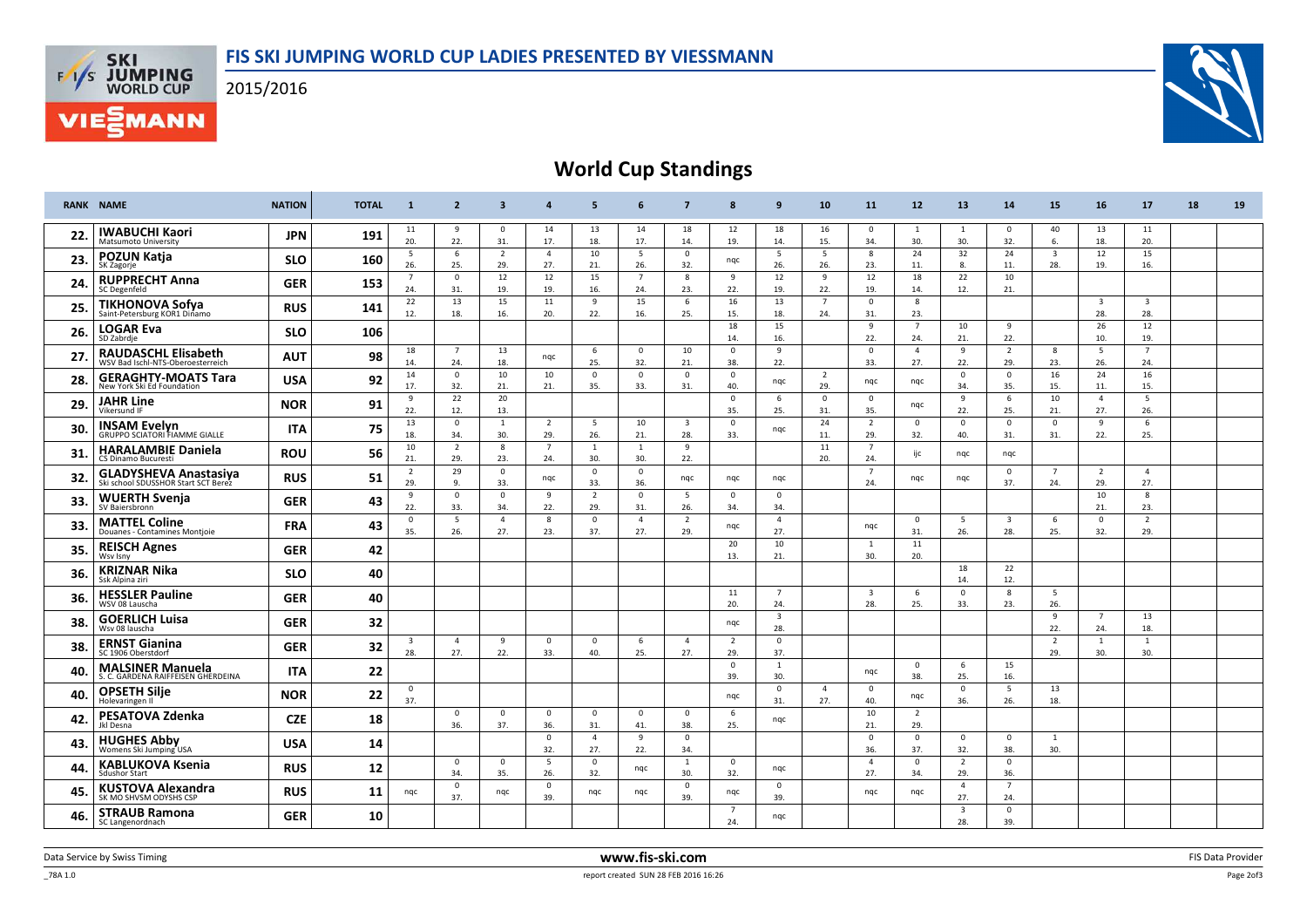## FIS SKI JUMPING WORLD CUP LADIES PRESENTED BY VIESSMANN



**FAS SKI**<br>WORLD CUP

**VIE***MANN* 



## World Cup Standings

|     | <b>RANK NAME</b>                                                    | <b>NATION</b> | <b>TOTAL</b> | $\mathbf{1}$                   | $\overline{2}$        | $\overline{\mathbf{3}}$ | $\overline{a}$        | 5                     | 6                     | $\overline{7}$                 | 8                     | 9                              | 10                    | 11                             | 12                    | 13                             | 14                             | 15                             | 16                             | 17                             | 18 | 19 |
|-----|---------------------------------------------------------------------|---------------|--------------|--------------------------------|-----------------------|-------------------------|-----------------------|-----------------------|-----------------------|--------------------------------|-----------------------|--------------------------------|-----------------------|--------------------------------|-----------------------|--------------------------------|--------------------------------|--------------------------------|--------------------------------|--------------------------------|----|----|
| 22. | <b>IWABUCHI Kaori</b><br><b>Matsumoto University</b>                | <b>JPN</b>    | 191          | 11<br>20.                      | 9<br>22.              | $\mathbf 0$<br>31.      | 14<br>17.             | 13<br>18.             | 14<br>17.             | 18<br>14.                      | 12<br>19.             | 18<br>14.                      | 16<br>15.             | - 0<br>34.                     | - 1<br>30.            | 1<br>30.                       | $\mathbf 0$<br>32.             | 40<br>6.                       | 13<br>18.                      | 11<br>20.                      |    |    |
| 23. | <b>POZUN Katja</b><br>SK Zagorje                                    | <b>SLO</b>    | 160          | 5<br>26.                       | 6<br>25.              | $\overline{2}$<br>29.   | $\overline{4}$<br>27. | 10<br>21.             | 5<br>26.              | $\mathbf 0$<br>32.             | ngc                   | 5<br>26.                       | 5<br>26.              | 8<br>23.                       | 24<br>11.             | 32<br>8.                       | 24<br>11.                      | $\overline{\mathbf{3}}$<br>28. | 12<br>19.                      | 15<br>16.                      |    |    |
| 24. | <b>RUPPRECHT Anna</b><br>SC Degenfeld                               | <b>GER</b>    | 153          | $\overline{7}$<br>24.          | $^{\circ}$<br>31.     | 12<br>19.               | 12<br>19.             | 15<br>16.             | $\overline{7}$<br>24. | 8<br>23.                       | 9<br>22.              | 12<br>19.                      | 9<br>22.              | 12<br>19.                      | 18<br>14.             | 22<br>12.                      | 10<br>21.                      |                                |                                |                                |    |    |
| 25. | TIKHONOVA Sofya<br>Saint-Petersburg KOR1 Dinamo                     | <b>RUS</b>    | 141          | 22<br>12.                      | 13<br>18.             | 15<br>16.               | 11<br>20.             | 9<br>22.              | 15<br>16.             | 6<br>25.                       | 16<br>15.             | 13<br>18.                      | $\overline{7}$<br>24. | $\overline{0}$<br>31.          | 8<br>23.              |                                |                                |                                | $\overline{\mathbf{3}}$<br>28. | $\overline{\mathbf{3}}$<br>28. |    |    |
| 26. | <b>LOGAR Eva</b><br>SD Zabrdje                                      | <b>SLO</b>    | 106          |                                |                       |                         |                       |                       |                       |                                | 18<br>14.             | 15<br>16.                      |                       | 9<br>22.                       | $\overline{7}$<br>24. | 10<br>21.                      | 9<br>22.                       |                                | 26<br>10.                      | 12<br>19.                      |    |    |
| 27. | <b>RAUDASCHL Elisabeth</b><br>WSV Bad Ischl-NTS-Oberoesterreich     | <b>AUT</b>    | 98           | 18<br>14.                      | $\overline{7}$<br>24. | 13<br>18.               | nqc                   | 6<br>25.              | $\mathbf{0}$<br>32.   | 10<br>21.                      | $\mathbf 0$<br>38.    | 9<br>22.                       |                       | $\overline{0}$<br>33.          | $\overline{4}$<br>27. | 9<br>22.                       | $\overline{2}$<br>29.          | 8<br>23.                       | 5<br>26.                       | $7\overline{ }$<br>24.         |    |    |
| 28. | <b>GERAGHTY-MOATS Tara</b><br>New York Ski Ed Foundation            | <b>USA</b>    | 92           | 14<br>17.                      | $^{\circ}$<br>32.     | 10<br>21.               | 10<br>21.             | $\mathbf{0}$<br>35.   | $\mathbf{0}$<br>33.   | $\mathbf{0}$<br>31.            | $\mathbf{0}$<br>40.   | ngc                            | $\overline{2}$<br>29. | ngc                            | nqc                   | $\mathbf 0$<br>34.             | $^{\circ}$<br>35.              | 16<br>15.                      | 24<br>11.                      | 16<br>15.                      |    |    |
| 29. | <b>JAHR Line</b><br>Vikersund IF                                    | <b>NOR</b>    | 91           | 9<br>22.                       | 22<br>12.             | 20<br>13.               |                       |                       |                       |                                | $\overline{0}$<br>35. | 6<br>25.                       | $\Omega$<br>31.       | $\overline{0}$<br>35.          | nqc                   | 9<br>22.                       | 6<br>25.                       | 10<br>21.                      | $\overline{4}$<br>27.          | 5<br>26.                       |    |    |
| 30. | <b>INSAM Evelyn</b><br>GRUPPO SCIATORI FIAMME GIALLE                | <b>ITA</b>    | 75           | 13<br>18.                      | $\mathbf 0$<br>34.    | 1<br>30.                | $\overline{2}$<br>29. | 5<br>26.              | 10<br>21.             | $\overline{\mathbf{3}}$<br>28. | $\mathbf 0$<br>33.    | ngc                            | 24<br>11.             | $\overline{2}$<br>29.          | $\mathbf 0$<br>32.    | $\mathbf 0$<br>40.             | $\mathbf 0$<br>31.             | $\mathsf 0$<br>31.             | 9<br>22.                       | 6<br>25.                       |    |    |
| 31. | <b>HARALAMBIE Daniela</b><br>CS Dinamo Bucuresti                    | <b>ROU</b>    | 56           | 10<br>21.                      | $\overline{2}$<br>29. | 8<br>23.                | - 7<br>24.            | 1<br>30.              | 1<br>30.              | 9<br>22.                       |                       |                                | 11<br>20.             | $\overline{7}$<br>24           | ijc                   | ngc                            | ngc                            |                                |                                |                                |    |    |
| 32. | <b>GLADYSHEVA Anastasiya</b><br>Ski school SDUSSHOR Start SCT Berez | <b>RUS</b>    | 51           | $\overline{2}$<br>29.          | 29<br>9.              | $\mathbf 0$<br>33.      | ngc                   | $\mathbf{0}$<br>33.   | $\overline{0}$<br>36. | ngc                            | ngc                   | ngc                            |                       | $\overline{7}$<br>24.          | ngc                   | ngc                            | $\mathbf{0}$<br>37.            | $\overline{7}$<br>24.          | $\overline{2}$<br>29.          | $\overline{4}$<br>27.          |    |    |
| 33. | <b>WUERTH Svenja</b><br>SV Baiersbronn                              | <b>GER</b>    | 43           | $\overline{9}$<br>22.          | $\mathbf 0$<br>33.    | $\mathbf 0$<br>34.      | 9<br>22.              | $\overline{2}$<br>29. | $\Omega$<br>31.       | 5<br>26.                       | $\mathbf 0$<br>34.    | $\mathbf 0$<br>34.             |                       |                                |                       |                                |                                |                                | 10<br>21.                      | $\mathbf{8}$<br>23.            |    |    |
| 33. | <b>MATTEL Coline</b><br>Douanes - Contamines Montjoie               | <b>FRA</b>    | 43           | $\mathbf 0$<br>35.             | 5<br>26.              | $\overline{4}$<br>27.   | 8<br>23.              | $\overline{0}$<br>37. | $\Delta$<br>27.       | $\overline{2}$<br>29.          | nqc                   | $\overline{4}$<br>27.          |                       | ngc                            | $\overline{0}$<br>31. | 5<br>26.                       | $\overline{\mathbf{3}}$<br>28. | 6<br>25.                       | $\mathbf 0$<br>32.             | $\overline{2}$<br>29.          |    |    |
| 35. | <b>REISCH Agnes</b><br>Wsv Isny                                     | <b>GER</b>    | 42           |                                |                       |                         |                       |                       |                       |                                | 20<br>13.             | 10<br>21.                      |                       | 1<br>30.                       | 11<br>20.             |                                |                                |                                |                                |                                |    |    |
| 36. | <b>KRIZNAR Nika</b><br>Ssk Alpina ziri                              | <b>SLO</b>    | 40           |                                |                       |                         |                       |                       |                       |                                |                       |                                |                       |                                |                       | 18<br>14.                      | 22<br>12.                      |                                |                                |                                |    |    |
| 36. | <b>HESSLER Pauline</b><br>WSV 08 Lauscha                            | <b>GER</b>    | 40           |                                |                       |                         |                       |                       |                       |                                | 11<br>20.             | $\overline{7}$<br>24.          |                       | $\overline{\mathbf{3}}$<br>28. | 6<br>25.              | $\mathbf 0$<br>33.             | 8<br>23.                       | 5<br>26.                       |                                |                                |    |    |
| 38. | <b>GOERLICH Luisa</b><br>Wsv 08 lauscha                             | <b>GER</b>    | 32           |                                |                       |                         |                       |                       |                       |                                | ngc                   | $\overline{\mathbf{3}}$<br>28. |                       |                                |                       |                                |                                | 9<br>22.                       | $\overline{7}$<br>24.          | 13<br>18.                      |    |    |
| 38. | <b>ERNST Gianina</b><br>SC 1906 Oberstdorf                          | <b>GER</b>    | 32           | $\overline{\mathbf{3}}$<br>28. | $\overline{4}$<br>27. | 9<br>22.                | $\Omega$<br>33.       | $\Omega$<br>40.       | 6<br>25.              | $\overline{4}$<br>27.          | $\overline{2}$<br>29. | $\mathbf{0}$<br>37.            |                       |                                |                       |                                |                                | $\overline{2}$<br>29.          | $\overline{1}$<br>30.          | $\mathbf{1}$<br>30.            |    |    |
| 40. | <b>MALSINER Manuela</b><br>S. C. GARDENA RAIFFEISEN GHERDEINA       | <b>ITA</b>    | 22           |                                |                       |                         |                       |                       |                       |                                | $\Omega$<br>39.       | 1<br>30.                       |                       | ngc                            | $\Omega$<br>38.       | 6<br>25.                       | 15<br>16.                      |                                |                                |                                |    |    |
| 40. | <b>OPSETH Silje</b><br>Holevaringen II                              | <b>NOR</b>    | 22           | $\mathbf 0$<br>37.             |                       |                         |                       |                       |                       |                                | ngc                   | $\mathbf 0$<br>31.             | 4<br>27.              | $\mathbf 0$<br>40.             | nqc                   | $\mathbf 0$<br>36.             | 5<br>26.                       | 13<br>18.                      |                                |                                |    |    |
| 42. | PESATOVA Zdenka<br>Jkl Desna                                        | <b>CZE</b>    | 18           |                                | $\mathbf{0}$<br>36.   | $\mathbf{0}$<br>37.     | 0<br>36.              | $^{\circ}$<br>31.     | $\mathbf 0$<br>41.    | $\mathbf{0}$<br>38.            | - 6<br>25.            | ngc                            |                       | 10<br>21.                      | $\overline{2}$<br>29. |                                |                                |                                |                                |                                |    |    |
| 43. | <b>HUGHES Abby</b><br>Womens Ski Jumping USA                        | <b>USA</b>    | 14           |                                |                       |                         | $\mathbf 0$<br>32.    | $\Delta$<br>27.       | 9<br>22.              | $\mathbf{0}$<br>34.            |                       |                                |                       | $\overline{0}$<br>36.          | $\mathbf{0}$<br>37.   | $\mathbf{0}$<br>32.            | $\overline{0}$<br>38.          | 1<br>30.                       |                                |                                |    |    |
| 44. | <b>KABLUKOVA Ksenia</b><br><b>Sdushor Start</b>                     | <b>RUS</b>    | 12           |                                | $^{\circ}$<br>34.     | $^{\circ}$<br>35.       | 5<br>26.              | $\Omega$<br>32.       | nqc                   | 1<br>30.                       | $\overline{0}$<br>32. | nqc                            |                       | $\overline{4}$<br>27.          | $\overline{0}$<br>34. | $\overline{2}$<br>29.          | $^{\circ}$<br>36.              |                                |                                |                                |    |    |
| 45. | <b>KUSTOVA Alexandra</b><br>SK MO SHVSM ODYSHS CSP                  | <b>RUS</b>    | 11           | ngc                            | $^{\circ}$<br>37.     | ngc                     | $\mathbf 0$<br>39.    | ngc                   | nqc                   | $\mathbf 0$<br>39.             | ngc                   | $\mathbf 0$<br>39.             |                       | ngc                            | ngc                   | $\overline{4}$<br>27.          | $\overline{7}$<br>24.          |                                |                                |                                |    |    |
| 46. | <b>STRAUB Ramona</b><br>SC Langenordnach                            | <b>GER</b>    | 10           |                                |                       |                         |                       |                       |                       |                                | $\overline{7}$<br>24. | ngc                            |                       |                                |                       | $\overline{\mathbf{3}}$<br>28. | $\mathbf{0}$<br>39.            |                                |                                |                                |    |    |

 $\_$  78A 1.0  $\,$